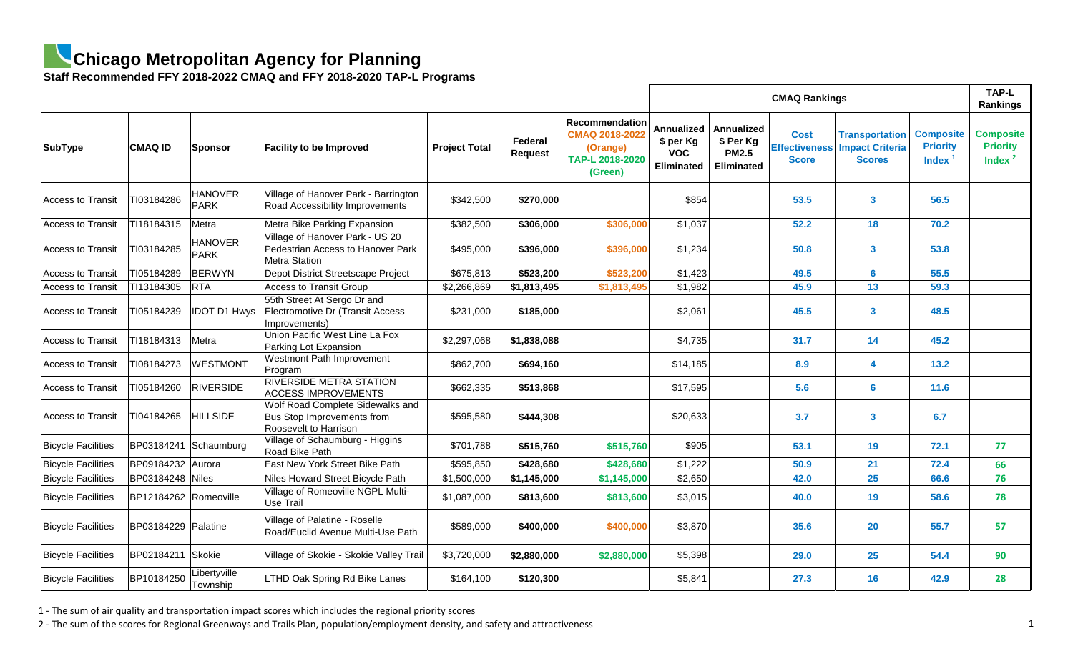## **Chicago Metropolitan Agency for Planning**

**Staff Recommended FFY 2018-2022 CMAQ and FFY 2018-2020 TAP-L Programs**

|                           |                       |                          |                                                                                                |                      |                           |                                                                            | <b>CMAQ Rankings</b>                                       |                                                              |                                                     |                                                                  |                                                     |                                                   |  |
|---------------------------|-----------------------|--------------------------|------------------------------------------------------------------------------------------------|----------------------|---------------------------|----------------------------------------------------------------------------|------------------------------------------------------------|--------------------------------------------------------------|-----------------------------------------------------|------------------------------------------------------------------|-----------------------------------------------------|---------------------------------------------------|--|
| SubType                   | <b>CMAQ ID</b>        | Sponsor                  | <b>Facility to be Improved</b>                                                                 | <b>Project Total</b> | Federal<br><b>Request</b> | Recommendation<br>CMAQ 2018-2022<br>(Orange)<br>TAP-L 2018-2020<br>(Green) | <b>Annualized</b><br>\$ per Kg<br><b>VOC</b><br>Eliminated | Annualized<br>\$ Per Kg<br><b>PM2.5</b><br><b>Eliminated</b> | <b>Cost</b><br><b>Effectiveness</b><br><b>Score</b> | <b>Transportation</b><br><b>Impact Criteria</b><br><b>Scores</b> | <b>Composite</b><br><b>Priority</b><br><b>Index</b> | <b>Composite</b><br><b>Priority</b><br>Index $^2$ |  |
| <b>Access to Transit</b>  | TI03184286            | <b>HANOVER</b><br>PARK   | Village of Hanover Park - Barrington<br><b>Road Accessibility Improvements</b>                 | \$342,500            | \$270,000                 |                                                                            | \$854                                                      |                                                              | 53.5                                                | $\mathbf{3}$                                                     | 56.5                                                |                                                   |  |
| <b>Access to Transit</b>  | TI18184315            | Metra                    | Metra Bike Parking Expansion                                                                   | \$382,500            | \$306,000                 | \$306,000                                                                  | \$1,037                                                    |                                                              | 52.2                                                | 18                                                               | 70.2                                                |                                                   |  |
| <b>Access to Transit</b>  | TI03184285            | <b>HANOVER</b><br>PARK   | Village of Hanover Park - US 20<br>Pedestrian Access to Hanover Park<br>Metra Station          | \$495,000            | \$396,000                 | \$396,000                                                                  | \$1,234                                                    |                                                              | 50.8                                                | $\mathbf{3}$                                                     | 53.8                                                |                                                   |  |
| <b>Access to Transit</b>  | TI05184289            | BERWYN                   | Depot District Streetscape Project                                                             | \$675,813            | \$523,200                 | \$523,200                                                                  | \$1,423                                                    |                                                              | 49.5                                                | $6\phantom{1}6$                                                  | 55.5                                                |                                                   |  |
| <b>Access to Transit</b>  | TI13184305            | <b>RTA</b>               | <b>Access to Transit Group</b>                                                                 | \$2,266,869          | \$1,813,495               | \$1,813,495                                                                | \$1,982                                                    |                                                              | 45.9                                                | 13                                                               | 59.3                                                |                                                   |  |
| <b>Access to Transit</b>  | TI05184239            | <b>IDOT D1 Hwys</b>      | 55th Street At Sergo Dr and<br>Electromotive Dr (Transit Access<br>Improvements)               | \$231,000            | \$185,000                 |                                                                            | \$2,061                                                    |                                                              | 45.5                                                | $\mathbf{3}$                                                     | 48.5                                                |                                                   |  |
| <b>Access to Transit</b>  | TI18184313            | Metra                    | Union Pacific West Line La Fox<br>Parking Lot Expansion                                        | \$2,297,068          | \$1,838,088               |                                                                            | \$4,735                                                    |                                                              | 31.7                                                | 14                                                               | 45.2                                                |                                                   |  |
| <b>Access to Transit</b>  | TI08184273            | <b>WESTMONT</b>          | <b>Westmont Path Improvement</b><br>Program                                                    | \$862,700            | \$694,160                 |                                                                            | \$14,185                                                   |                                                              | 8.9                                                 | $\boldsymbol{4}$                                                 | 13.2                                                |                                                   |  |
| <b>Access to Transit</b>  | TI05184260            | RIVERSIDE                | <b>RIVERSIDE METRA STATION</b><br><b>ACCESS IMPROVEMENTS</b>                                   | \$662,335            | \$513,868                 |                                                                            | \$17,595                                                   |                                                              | 5.6                                                 | $6\phantom{a}$                                                   | 11.6                                                |                                                   |  |
| <b>Access to Transit</b>  | TI04184265            | <b>HILLSIDE</b>          | Wolf Road Complete Sidewalks and<br>Bus Stop Improvements from<br><b>Roosevelt to Harrison</b> | \$595,580            | \$444,308                 |                                                                            | \$20,633                                                   |                                                              | 3.7                                                 | $\mathbf{3}$                                                     | 6.7                                                 |                                                   |  |
| <b>Bicycle Facilities</b> |                       | BP03184241 Schaumburg    | Village of Schaumburg - Higgins<br>Road Bike Path                                              | \$701,788            | \$515,760                 | \$515,760                                                                  | \$905                                                      |                                                              | 53.1                                                | 19                                                               | 72.1                                                | 77                                                |  |
| <b>Bicycle Facilities</b> | BP09184232 Aurora     |                          | <b>East New York Street Bike Path</b>                                                          | \$595,850            | \$428,680                 | \$428,680                                                                  | \$1,222                                                    |                                                              | 50.9                                                | 21                                                               | 72.4                                                | 66                                                |  |
| <b>Bicycle Facilities</b> | BP03184248 Niles      |                          | Niles Howard Street Bicycle Path                                                               | \$1,500,000          | \$1,145,000               | \$1,145,000                                                                | \$2,650                                                    |                                                              | 42.0                                                | 25                                                               | 66.6                                                | 76                                                |  |
| <b>Bicycle Facilities</b> | BP12184262 Romeoville |                          | Village of Romeoville NGPL Multi-<br>Use Trail                                                 | \$1,087,000          | \$813,600                 | \$813,600                                                                  | \$3,015                                                    |                                                              | 40.0                                                | 19                                                               | 58.6                                                | 78                                                |  |
| <b>Bicycle Facilities</b> | BP03184229 Palatine   |                          | Village of Palatine - Roselle<br>Road/Euclid Avenue Multi-Use Path                             | \$589,000            | \$400,000                 | \$400,000                                                                  | \$3,870                                                    |                                                              | 35.6                                                | 20                                                               | 55.7                                                | 57                                                |  |
| <b>Bicycle Facilities</b> | BP02184211   Skokie   |                          | Village of Skokie - Skokie Valley Trail                                                        | \$3,720,000          | \$2,880,000               | \$2,880,000                                                                | \$5,398                                                    |                                                              | <b>29.0</b>                                         | <b>25</b>                                                        | 54.4                                                | 90                                                |  |
| <b>Bicycle Facilities</b> | BP10184250            | Libertyville<br>Township | <b>LTHD Oak Spring Rd Bike Lanes</b>                                                           | \$164,100            | \$120,300                 |                                                                            | \$5,841                                                    |                                                              | 27.3                                                | 16                                                               | 42.9                                                | 28                                                |  |

1 - The sum of air quality and transportation impact scores which includes the regional priority scores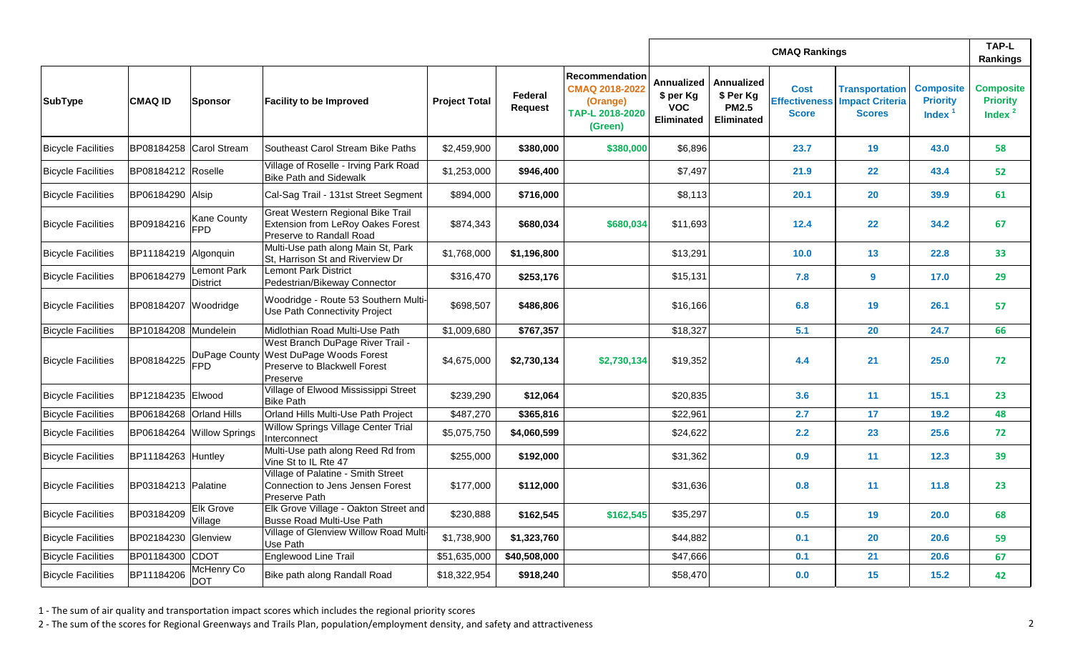|                           |                         |                                  |                                                                                                                        |                      |                           |                                                                                   |                                                                   |                                                                     | <b>TAP-L</b><br>Rankings    |                                                                                |                                                  |                                                   |
|---------------------------|-------------------------|----------------------------------|------------------------------------------------------------------------------------------------------------------------|----------------------|---------------------------|-----------------------------------------------------------------------------------|-------------------------------------------------------------------|---------------------------------------------------------------------|-----------------------------|--------------------------------------------------------------------------------|--------------------------------------------------|---------------------------------------------------|
| <b>SubType</b>            | <b>CMAQ ID</b>          | Sponsor                          | <b>Facility to be Improved</b>                                                                                         | <b>Project Total</b> | Federal<br><b>Request</b> | <b>Recommendation</b><br>CMAQ 2018-2022<br>(Orange)<br>TAP-L 2018-2020<br>(Green) | <b>Annualized</b><br>\$ per Kg<br><b>VOC</b><br><b>Eliminated</b> | <b>Annualized</b><br>\$ Per Kg<br><b>PM2.5</b><br><b>Eliminated</b> | <b>Cost</b><br><b>Score</b> | <b>Transportation</b><br><b>Effectiveness Impact Criteria</b><br><b>Scores</b> | <b>Composite</b><br><b>Priority</b><br>Index $1$ | <b>Composite</b><br><b>Priority</b><br>Index $^2$ |
| <b>Bicycle Facilities</b> |                         | BP08184258 Carol Stream          | Southeast Carol Stream Bike Paths                                                                                      | \$2,459,900          | \$380,000                 | \$380,000                                                                         | \$6,896                                                           |                                                                     | 23.7                        | 19                                                                             | 43.0                                             | 58                                                |
| <b>Bicycle Facilities</b> | BP08184212   Roselle    |                                  | Village of Roselle - Irving Park Road<br>Bike Path and Sidewalk                                                        | \$1,253,000          | \$946,400                 |                                                                                   | \$7,497                                                           |                                                                     | 21.9                        | 22                                                                             | 43.4                                             | 52                                                |
| <b>Bicycle Facilities</b> | BP06184290 Alsip        |                                  | Cal-Sag Trail - 131st Street Segment                                                                                   | \$894,000            | \$716,000                 |                                                                                   | \$8,113                                                           |                                                                     | 20.1                        | <b>20</b>                                                                      | 39.9                                             | 61                                                |
| <b>Bicycle Facilities</b> | BP09184216              | <b>Kane County</b><br><b>FPD</b> | Great Western Regional Bike Trail<br>Extension from LeRoy Oakes Forest<br><b>Preserve to Randall Road</b>              | \$874,343            | \$680,034                 | \$680,034                                                                         | \$11,693                                                          |                                                                     | 12.4                        | 22                                                                             | 34.2                                             | 67                                                |
| <b>Bicycle Facilities</b> | BP11184219 Algonquin    |                                  | Multi-Use path along Main St, Park<br>St, Harrison St and Riverview Dr                                                 | \$1,768,000          | \$1,196,800               |                                                                                   | \$13,291                                                          |                                                                     | 10.0                        | 13                                                                             | 22.8                                             | 33                                                |
| <b>Bicycle Facilities</b> | BP06184279              | Lemont Park<br>District          | <b>Lemont Park District</b><br>Pedestrian/Bikeway Connector                                                            | \$316,470            | \$253,176                 |                                                                                   | \$15,131                                                          |                                                                     | 7.8                         | 9                                                                              | 17.0                                             | 29                                                |
| <b>Bicycle Facilities</b> | BP08184207 Woodridge    |                                  | Woodridge - Route 53 Southern Multi-<br>Use Path Connectivity Project                                                  | \$698,507            | \$486,806                 |                                                                                   | \$16,166                                                          |                                                                     | 6.8                         | 19                                                                             | 26.1                                             | 57                                                |
| <b>Bicycle Facilities</b> | BP10184208 Mundelein    |                                  | Midlothian Road Multi-Use Path                                                                                         | \$1,009,680          | \$767,357                 |                                                                                   | \$18,327                                                          |                                                                     | 5.1                         | 20                                                                             | 24.7                                             | 66                                                |
| <b>Bicycle Facilities</b> | BP08184225              | DuPage County<br><b>IFPD</b>     | West Branch DuPage River Trail -<br><b>West DuPage Woods Forest</b><br><b>Preserve to Blackwell Forest</b><br>Preserve | \$4,675,000          | \$2,730,134               | \$2,730,134                                                                       | \$19,352                                                          |                                                                     | 4.4                         | 21                                                                             | 25.0                                             | 72                                                |
| <b>Bicycle Facilities</b> | BP12184235 Elwood       |                                  | Village of Elwood Mississippi Street<br><b>Bike Path</b>                                                               | \$239,290            | \$12,064                  |                                                                                   | \$20,835                                                          |                                                                     | 3.6                         | 11                                                                             | 15.1                                             | 23                                                |
| <b>Bicycle Facilities</b> | BP06184268 Orland Hills |                                  | Orland Hills Multi-Use Path Project                                                                                    | \$487,270            | \$365,816                 |                                                                                   | \$22,961                                                          |                                                                     | 2.7                         | 17                                                                             | 19.2                                             | 48                                                |
| <b>Bicycle Facilities</b> |                         | BP06184264 Willow Springs        | Willow Springs Village Center Trial<br>Interconnect                                                                    | \$5,075,750          | \$4,060,599               |                                                                                   | \$24,622                                                          |                                                                     | 2.2                         | 23                                                                             | 25.6                                             | 72                                                |
| <b>Bicycle Facilities</b> | BP11184263 Huntley      |                                  | Multi-Use path along Reed Rd from<br>Vine St to IL Rte 47                                                              | \$255,000            | \$192,000                 |                                                                                   | \$31,362                                                          |                                                                     | 0.9                         | 11                                                                             | $12.3$                                           | 39                                                |
| <b>Bicycle Facilities</b> | BP03184213 Palatine     |                                  | Village of Palatine - Smith Street<br>Connection to Jens Jensen Forest<br>Preserve Path                                | \$177,000            | \$112,000                 |                                                                                   | \$31,636                                                          |                                                                     | 0.8                         | 11                                                                             | 11.8                                             | 23                                                |
| <b>Bicycle Facilities</b> | BP03184209              | <b>Elk Grove</b><br>Village      | Elk Grove Village - Oakton Street and<br><b>Busse Road Multi-Use Path</b>                                              | \$230,888            | \$162,545                 | \$162,545                                                                         | \$35,297                                                          |                                                                     | 0.5                         | 19                                                                             | <b>20.0</b>                                      | 68                                                |
| <b>Bicycle Facilities</b> | BP02184230 Glenview     |                                  | Village of Glenview Willow Road Multi-<br>Use Path                                                                     | \$1,738,900          | \$1,323,760               |                                                                                   | \$44,882                                                          |                                                                     | 0.1                         | <b>20</b>                                                                      | 20.6                                             | 59                                                |
| <b>Bicycle Facilities</b> | BP01184300 CDOT         |                                  | Englewood Line Trail                                                                                                   | \$51,635,000         | \$40,508,000              |                                                                                   | \$47,666                                                          |                                                                     | 0.1                         | 21                                                                             | 20.6                                             | 67                                                |
| <b>Bicycle Facilities</b> | BP11184206              | McHenry Co<br><b>DOT</b>         | Bike path along Randall Road                                                                                           | \$18,322,954         | \$918,240                 |                                                                                   | \$58,470                                                          |                                                                     | 0.0                         | 15                                                                             | 15.2                                             | 42                                                |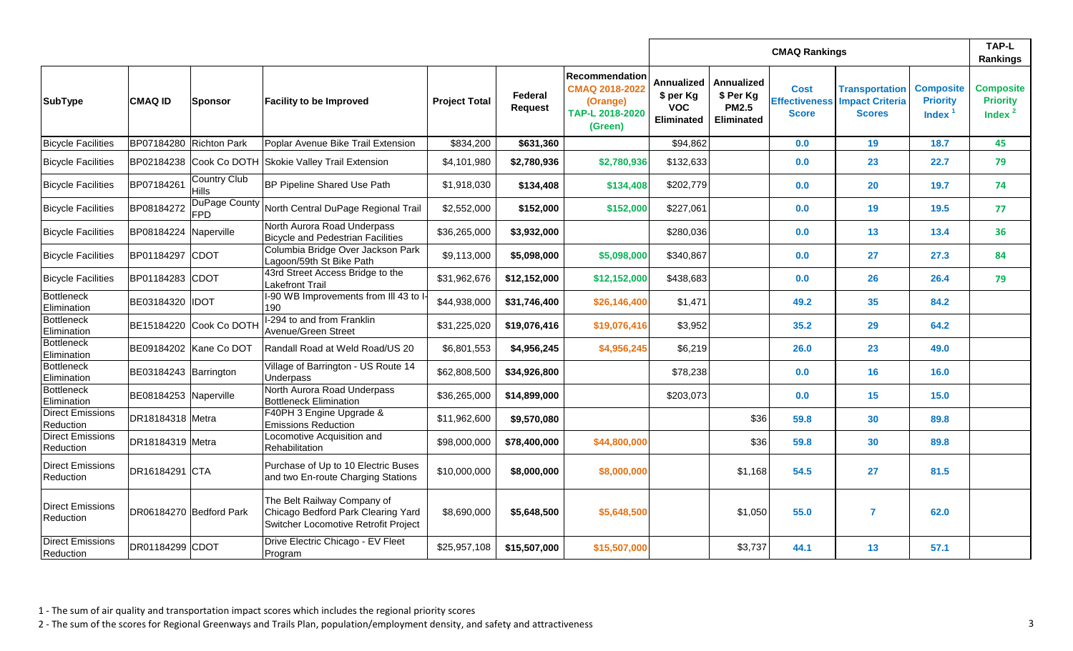|                                      |                         |                          |                                                                                                           |                      |                           |                                                                                   |                                                                   | TAP-L<br>Rankings                                            |                             |                                                                                |                                                  |                                                   |
|--------------------------------------|-------------------------|--------------------------|-----------------------------------------------------------------------------------------------------------|----------------------|---------------------------|-----------------------------------------------------------------------------------|-------------------------------------------------------------------|--------------------------------------------------------------|-----------------------------|--------------------------------------------------------------------------------|--------------------------------------------------|---------------------------------------------------|
| SubType                              | <b>CMAQ ID</b>          | Sponsor                  | <b>Facility to be Improved</b>                                                                            | <b>Project Total</b> | Federal<br><b>Request</b> | <b>Recommendation</b><br>CMAQ 2018-2022<br>(Orange)<br>TAP-L 2018-2020<br>(Green) | <b>Annualized</b><br>\$ per Kg<br><b>VOC</b><br><b>Eliminated</b> | Annualized<br>\$ Per Kg<br><b>PM2.5</b><br><b>Eliminated</b> | <b>Cost</b><br><b>Score</b> | <b>Transportation</b><br><b>Effectiveness Impact Criteria</b><br><b>Scores</b> | <b>Composite</b><br><b>Priority</b><br>Index $1$ | <b>Composite</b><br><b>Priority</b><br>Index $^2$ |
| <b>Bicycle Facilities</b>            | BP07184280 Richton Park |                          | Poplar Avenue Bike Trail Extension                                                                        | \$834,200            | \$631,360                 |                                                                                   | \$94,862                                                          |                                                              | 0.0                         | 19                                                                             | 18.7                                             | 45                                                |
| <b>Bicycle Facilities</b>            |                         |                          | BP02184238 Cook Co DOTH Skokie Valley Trail Extension                                                     | \$4,101,980          | \$2,780,936               | \$2,780,936                                                                       | \$132,633                                                         |                                                              | 0.0                         | 23                                                                             | 22.7                                             | 79                                                |
| <b>Bicycle Facilities</b>            | BP07184261              | Country Club<br>Hills    | <b>BP Pipeline Shared Use Path</b>                                                                        | \$1,918,030          | \$134,408                 | \$134,408                                                                         | \$202,779                                                         |                                                              | 0.0                         | 20                                                                             | 19.7                                             | 74                                                |
| <b>Bicycle Facilities</b>            | BP08184272              | DuPage County<br>FPD     | North Central DuPage Regional Trail                                                                       | \$2,552,000          | \$152,000                 | \$152,000                                                                         | \$227,061                                                         |                                                              | 0.0                         | 19                                                                             | 19.5                                             | 77                                                |
| <b>Bicycle Facilities</b>            | BP08184224 Naperville   |                          | North Aurora Road Underpass<br><b>Bicycle and Pedestrian Facilities</b>                                   | \$36,265,000         | \$3,932,000               |                                                                                   | \$280,036                                                         |                                                              | 0.0                         | 13                                                                             | 13.4                                             | 36                                                |
| <b>Bicycle Facilities</b>            | BP01184297 CDOT         |                          | Columbia Bridge Over Jackson Park<br>Lagoon/59th St Bike Path                                             | \$9,113,000          | \$5,098,000               | \$5,098,000                                                                       | \$340,867                                                         |                                                              | 0.0                         | 27                                                                             | 27.3                                             | 84                                                |
| <b>Bicycle Facilities</b>            | BP01184283 CDOT         |                          | 43rd Street Access Bridge to the<br>Lakefront Trail                                                       | \$31,962,676         | \$12,152,000              | \$12,152,000                                                                      | \$438,683                                                         |                                                              | 0.0                         | 26                                                                             | 26.4                                             | 79                                                |
| Bottleneck<br>Elimination            | BE03184320  IDOT        |                          | 1-90 WB Improvements from III 43 to I<br>190                                                              | \$44,938,000         | \$31,746,400              | \$26,146,400                                                                      | \$1,471                                                           |                                                              | 49.2                        | 35                                                                             | 84.2                                             |                                                   |
| Bottleneck<br>Elimination            |                         | BE15184220 Cook Co DOTH  | I-294 to and from Franklin<br>Avenue/Green Street                                                         | \$31,225,020         | \$19,076,416              | \$19,076,416                                                                      | \$3,952                                                           |                                                              | 35.2                        | 29                                                                             | 64.2                                             |                                                   |
| Bottleneck<br>Elimination            |                         | BE09184202   Kane Co DOT | Randall Road at Weld Road/US 20                                                                           | \$6,801,553          | \$4,956,245               | \$4,956,245                                                                       | \$6,219                                                           |                                                              | 26.0                        | 23                                                                             | 49.0                                             |                                                   |
| Bottleneck<br>Elimination            | BE03184243 Barrington   |                          | Village of Barrington - US Route 14<br>Underpass                                                          | \$62,808,500         | \$34,926,800              |                                                                                   | \$78,238                                                          |                                                              | 0.0                         | 16                                                                             | 16.0                                             |                                                   |
| Bottleneck<br>Elimination            | BE08184253 Naperville   |                          | North Aurora Road Underpass<br><b>Bottleneck Elimination</b>                                              | \$36,265,000         | \$14,899,000              |                                                                                   | \$203,073                                                         |                                                              | 0.0                         | 15                                                                             | 15.0                                             |                                                   |
| <b>Direct Emissions</b><br>Reduction | DR18184318 Metra        |                          | F40PH 3 Engine Upgrade &<br><b>Emissions Reduction</b>                                                    | \$11,962,600         | \$9,570,080               |                                                                                   |                                                                   | \$36                                                         | 59.8                        | 30                                                                             | 89.8                                             |                                                   |
| <b>Direct Emissions</b><br>Reduction | DR18184319 Metra        |                          | Locomotive Acquisition and<br>Rehabilitation                                                              | \$98,000,000         | \$78,400,000              | \$44,800,000                                                                      |                                                                   | \$36                                                         | 59.8                        | 30                                                                             | 89.8                                             |                                                   |
| Direct Emissions<br>Reduction        | DR16184291 CTA          |                          | Purchase of Up to 10 Electric Buses<br>and two En-route Charging Stations                                 | \$10,000,000         | \$8,000,000               | \$8,000,000                                                                       |                                                                   | \$1,168                                                      | 54.5                        | 27                                                                             | 81.5                                             |                                                   |
| Direct Emissions<br>Reduction        |                         | DR06184270 Bedford Park  | The Belt Railway Company of<br>Chicago Bedford Park Clearing Yard<br>Switcher Locomotive Retrofit Project | \$8,690,000          | \$5,648,500               | \$5,648,500                                                                       |                                                                   | \$1,050                                                      | 55.0                        | 7                                                                              | 62.0                                             |                                                   |
| Direct Emissions<br>Reduction        | DR01184299 CDOT         |                          | Drive Electric Chicago - EV Fleet<br>Program                                                              | \$25,957,108         | \$15,507,000              | \$15,507,000                                                                      |                                                                   | \$3,737                                                      | 44.1                        | 13                                                                             | 57.1                                             |                                                   |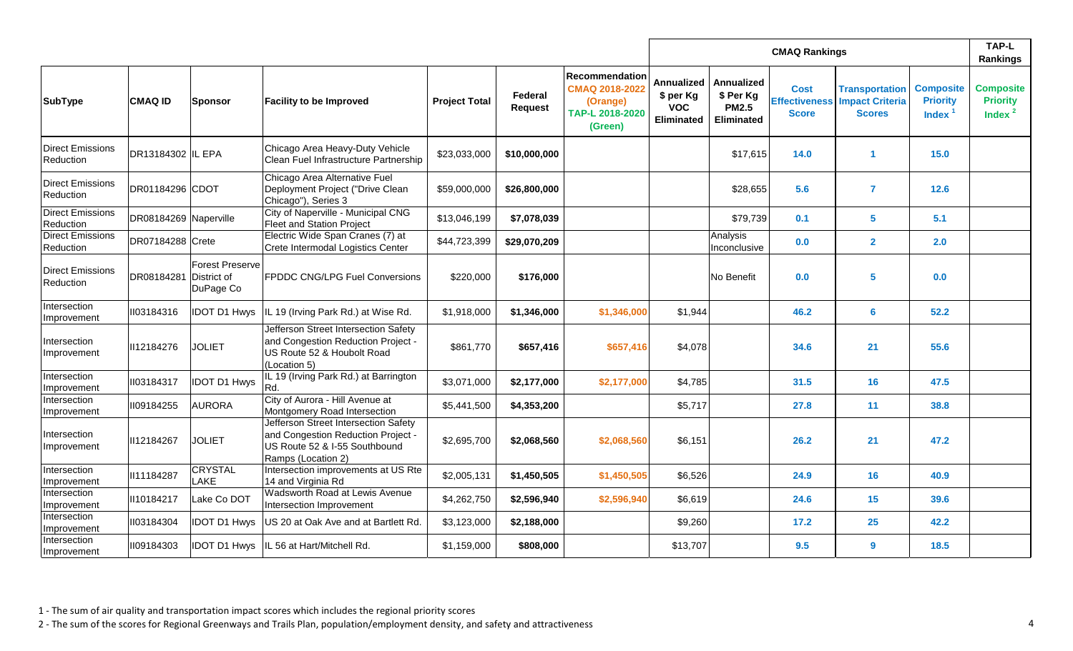|                                      |                       |                                                    |                                                                                                                                   |                      |                           |                                                                                   |                                                            |                                                              | TAP-L<br>Rankings                                   |                                                                  |                                                  |                                                   |
|--------------------------------------|-----------------------|----------------------------------------------------|-----------------------------------------------------------------------------------------------------------------------------------|----------------------|---------------------------|-----------------------------------------------------------------------------------|------------------------------------------------------------|--------------------------------------------------------------|-----------------------------------------------------|------------------------------------------------------------------|--------------------------------------------------|---------------------------------------------------|
| <b>SubType</b>                       | <b>CMAQ ID</b>        | Sponsor                                            | <b>Facility to be Improved</b>                                                                                                    | <b>Project Total</b> | Federal<br><b>Request</b> | <b>Recommendation</b><br>CMAQ 2018-2022<br>(Orange)<br>TAP-L 2018-2020<br>(Green) | <b>Annualized</b><br>\$ per Kg<br><b>VOC</b><br>Eliminated | Annualized<br>\$ Per Kg<br><b>PM2.5</b><br><b>Eliminated</b> | <b>Cost</b><br><b>Effectiveness</b><br><b>Score</b> | <b>Transportation</b><br><b>Impact Criteria</b><br><b>Scores</b> | <b>Composite</b><br><b>Priority</b><br>Index $1$ | <b>Composite</b><br><b>Priority</b><br>Index $^2$ |
| <b>Direct Emissions</b><br>Reduction | DR13184302  IL EPA    |                                                    | Chicago Area Heavy-Duty Vehicle<br>Clean Fuel Infrastructure Partnership                                                          | \$23,033,000         | \$10,000,000              |                                                                                   |                                                            | \$17,615                                                     | $14.0$                                              | -1                                                               | 15.0                                             |                                                   |
| <b>Direct Emissions</b><br>Reduction | DR01184296 CDOT       |                                                    | Chicago Area Alternative Fuel<br>Deployment Project ("Drive Clean<br>Chicago"), Series 3                                          | \$59,000,000         | \$26,800,000              |                                                                                   |                                                            | \$28,655                                                     | 5.6                                                 | $\overline{7}$                                                   | 12.6                                             |                                                   |
| <b>Direct Emissions</b><br>Reduction | DR08184269 Naperville |                                                    | City of Naperville - Municipal CNG<br><b>Fleet and Station Project</b>                                                            | \$13,046,199         | \$7,078,039               |                                                                                   |                                                            | \$79,739                                                     | 0.1                                                 | 5                                                                | 5.1                                              |                                                   |
| <b>Direct Emissions</b><br>Reduction | DR07184288 Crete      |                                                    | Electric Wide Span Cranes (7) at<br>Crete Intermodal Logistics Center                                                             | \$44,723,399         | \$29,070,209              |                                                                                   |                                                            | Analysis<br>Inconclusive                                     | 0.0                                                 | $\overline{2}$                                                   | 2.0                                              |                                                   |
| <b>Direct Emissions</b><br>Reduction | DR08184281            | <b>Forest Preserve</b><br>District of<br>DuPage Co | <b>FPDDC CNG/LPG Fuel Conversions</b>                                                                                             | \$220,000            | \$176,000                 |                                                                                   |                                                            | No Benefit                                                   | 0.0                                                 | 5                                                                | 0.0                                              |                                                   |
| Intersection<br>Improvement          | II03184316            | <b>IDOT D1 Hwys</b>                                | IL 19 (Irving Park Rd.) at Wise Rd.                                                                                               | \$1,918,000          | \$1,346,000               | \$1,346,000                                                                       | \$1,944                                                    |                                                              | 46.2                                                | 6                                                                | 52.2                                             |                                                   |
| Intersection<br>Improvement          | II12184276            | <b>JOLIET</b>                                      | Jefferson Street Intersection Safety<br>and Congestion Reduction Project -<br>US Route 52 & Houbolt Road<br>(Location 5)          | \$861,770            | \$657,416                 | \$657,416                                                                         | \$4,078                                                    |                                                              | 34.6                                                | 21                                                               | 55.6                                             |                                                   |
| Intersection<br><b>Improvement</b>   | II03184317            | <b>IDOT D1 Hwys</b>                                | IL 19 (Irving Park Rd.) at Barrington<br>Rd.                                                                                      | \$3,071,000          | \$2,177,000               | \$2,177,000                                                                       | \$4,785                                                    |                                                              | 31.5                                                | 16                                                               | 47.5                                             |                                                   |
| Intersection<br><b>Improvement</b>   | II09184255            | <b>AURORA</b>                                      | City of Aurora - Hill Avenue at<br>Montgomery Road Intersection                                                                   | \$5,441,500          | \$4,353,200               |                                                                                   | \$5,717                                                    |                                                              | 27.8                                                | 11                                                               | 38.8                                             |                                                   |
| Intersection<br>Improvement          | II12184267            | <b>JOLIET</b>                                      | Jefferson Street Intersection Safety<br>and Congestion Reduction Project -<br>US Route 52 & I-55 Southbound<br>Ramps (Location 2) | \$2,695,700          | \$2,068,560               | \$2,068,560                                                                       | \$6,151                                                    |                                                              | 26.2                                                | 21                                                               | 47.2                                             |                                                   |
| Intersection<br>Improvement          | II11184287            | CRYSTAL<br>LAKE                                    | Intersection improvements at US Rte<br>14 and Virginia Rd                                                                         | \$2,005,131          | \$1,450,505               | \$1,450,505                                                                       | \$6,526                                                    |                                                              | 24.9                                                | 16                                                               | 40.9                                             |                                                   |
| Intersection<br>Improvement          | II10184217            | Lake Co DOT                                        | <b>Wadsworth Road at Lewis Avenue</b><br>Intersection Improvement                                                                 | \$4,262,750          | \$2,596,940               | \$2,596,940                                                                       | \$6,619                                                    |                                                              | 24.6                                                | 15                                                               | 39.6                                             |                                                   |
| Intersection<br><b>Improvement</b>   | II03184304            | <b>IDOT D1 Hwys</b>                                | US 20 at Oak Ave and at Bartlett Rd.                                                                                              | \$3,123,000          | \$2,188,000               |                                                                                   | \$9,260                                                    |                                                              | 17.2                                                | 25                                                               | 42.2                                             |                                                   |
| Intersection<br>Improvement          | 1109184303            |                                                    | IDOT D1 Hwys   IL 56 at Hart/Mitchell Rd.                                                                                         | \$1,159,000          | \$808,000                 |                                                                                   | \$13,707                                                   |                                                              | 9.5                                                 | 9                                                                | 18.5                                             |                                                   |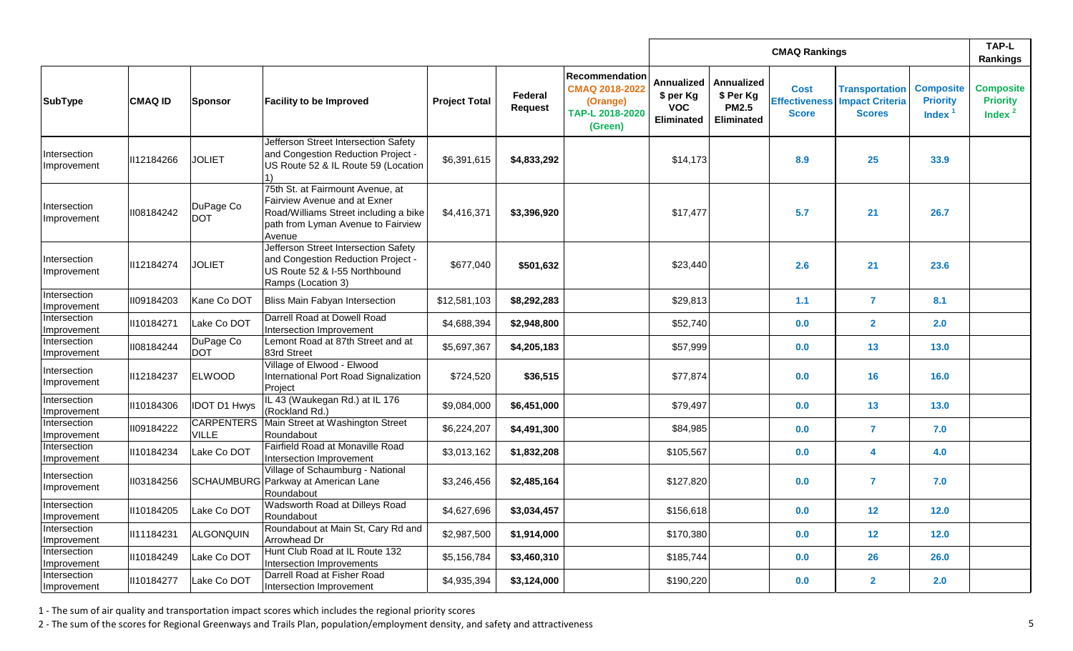|                             |                |                                   |                                                                                                                                                                  |                      |                           |                                                                                   |                                                                   | <b>TAP-L</b><br>Rankings                                     |                             |                                                                                |                                                  |                                                   |
|-----------------------------|----------------|-----------------------------------|------------------------------------------------------------------------------------------------------------------------------------------------------------------|----------------------|---------------------------|-----------------------------------------------------------------------------------|-------------------------------------------------------------------|--------------------------------------------------------------|-----------------------------|--------------------------------------------------------------------------------|--------------------------------------------------|---------------------------------------------------|
| SubType                     | <b>CMAQ ID</b> | Sponsor                           | <b>Facility to be Improved</b>                                                                                                                                   | <b>Project Total</b> | Federal<br><b>Request</b> | <b>Recommendation</b><br>CMAQ 2018-2022<br>(Orange)<br>TAP-L 2018-2020<br>(Green) | <b>Annualized</b><br>\$ per Kg<br><b>VOC</b><br><b>Eliminated</b> | Annualized<br>\$ Per Kg<br><b>PM2.5</b><br><b>Eliminated</b> | <b>Cost</b><br><b>Score</b> | <b>Transportation</b><br><b>Effectiveness Impact Criteria</b><br><b>Scores</b> | <b>Composite</b><br><b>Priority</b><br>Index $1$ | <b>Composite</b><br><b>Priority</b><br>Index $^2$ |
| Intersection<br>Improvement | II12184266     | <b>JOLIET</b>                     | Jefferson Street Intersection Safety<br>and Congestion Reduction Project -<br>US Route 52 & IL Route 59 (Location<br>1)                                          | \$6,391,615          | \$4,833,292               |                                                                                   | \$14,173                                                          |                                                              | 8.9                         | 25                                                                             | 33.9                                             |                                                   |
| Intersection<br>Improvement | II08184242     | DuPage Co<br><b>DOT</b>           | 75th St. at Fairmount Avenue, at<br><b>Fairview Avenue and at Exner</b><br>Road/Williams Street including a bike<br>path from Lyman Avenue to Fairview<br>Avenue | \$4,416,371          | \$3,396,920               |                                                                                   | \$17,477                                                          |                                                              | 5.7                         | 21                                                                             | 26.7                                             |                                                   |
| Intersection<br>Improvement | II12184274     | <b>JOLIET</b>                     | Jefferson Street Intersection Safety<br>and Congestion Reduction Project -<br>US Route 52 & I-55 Northbound<br>Ramps (Location 3)                                | \$677,040            | \$501,632                 |                                                                                   | \$23,440                                                          |                                                              | 2.6                         | 21                                                                             | 23.6                                             |                                                   |
| Intersection<br>Improvement | II09184203     | Kane Co DOT                       | Bliss Main Fabyan Intersection                                                                                                                                   | \$12,581,103         | \$8,292,283               |                                                                                   | \$29,813                                                          |                                                              | 1.1                         | $\overline{7}$                                                                 | 8.1                                              |                                                   |
| Intersection<br>Improvement | II10184271     | Lake Co DOT                       | Darrell Road at Dowell Road<br>Intersection Improvement                                                                                                          | \$4,688,394          | \$2,948,800               |                                                                                   | \$52,740                                                          |                                                              | 0.0                         | $\overline{2}$                                                                 | 2.0                                              |                                                   |
| Intersection<br>Improvement | II08184244     | DuPage Co<br><b>DOT</b>           | Lemont Road at 87th Street and at<br>83rd Street                                                                                                                 | \$5,697,367          | \$4,205,183               |                                                                                   | \$57,999                                                          |                                                              | 0.0                         | 13                                                                             | 13.0                                             |                                                   |
| Intersection<br>Improvement | II12184237     | <b>ELWOOD</b>                     | Village of Elwood - Elwood<br>International Port Road Signalization<br>Project                                                                                   | \$724,520            | \$36,515                  |                                                                                   | \$77,874                                                          |                                                              | 0.0                         | 16                                                                             | 16.0                                             |                                                   |
| Intersection<br>Improvement | II10184306     | <b>IDOT D1 Hwys</b>               | IL 43 (Waukegan Rd.) at IL 176<br>(Rockland Rd.)                                                                                                                 | \$9,084,000          | \$6,451,000               |                                                                                   | \$79,497                                                          |                                                              | 0.0                         | 13                                                                             | $13.0$                                           |                                                   |
| Intersection<br>Improvement | 1109184222     | <b>CARPENTERS</b><br><b>VILLE</b> | Main Street at Washington Street<br>Roundabout                                                                                                                   | \$6,224,207          | \$4,491,300               |                                                                                   | \$84,985                                                          |                                                              | 0.0                         | $\overline{7}$                                                                 | 7.0                                              |                                                   |
| Intersection<br>Improvement | II10184234     | Lake Co DOT                       | Fairfield Road at Monaville Road<br>Intersection Improvement                                                                                                     | \$3,013,162          | \$1,832,208               |                                                                                   | \$105,567                                                         |                                                              | 0.0                         | 4                                                                              | 4.0                                              |                                                   |
| Intersection<br>Improvement | II03184256     |                                   | Village of Schaumburg - National<br>SCHAUMBURG Parkway at American Lane<br>Roundabout                                                                            | \$3,246,456          | \$2,485,164               |                                                                                   | \$127,820                                                         |                                                              | 0.0                         | $\overline{7}$                                                                 | 7.0                                              |                                                   |
| Intersection<br>Improvement | II10184205     | Lake Co DOT                       | Wadsworth Road at Dilleys Road<br>Roundabout                                                                                                                     | \$4,627,696          | \$3,034,457               |                                                                                   | \$156,618                                                         |                                                              | 0.0                         | 12                                                                             | 12.0                                             |                                                   |
| Intersection<br>Improvement | II11184231     | ALGONQUIN                         | Roundabout at Main St, Cary Rd and<br>Arrowhead Dr                                                                                                               | \$2,987,500          | \$1,914,000               |                                                                                   | \$170,380                                                         |                                                              | 0.0                         | 12                                                                             | 12.0                                             |                                                   |
| Intersection<br>Improvement | II10184249     | Lake Co DOT                       | Hunt Club Road at IL Route 132<br>Intersection Improvements                                                                                                      | \$5,156,784          | \$3,460,310               |                                                                                   | \$185,744                                                         |                                                              | 0.0                         | <b>26</b>                                                                      | 26.0                                             |                                                   |
| Intersection<br>Improvement | II10184277     | Lake Co DOT                       | Darrell Road at Fisher Road<br>Intersection Improvement                                                                                                          | \$4,935,394          | \$3,124,000               |                                                                                   | \$190,220                                                         |                                                              | 0.0                         | $\overline{2}$                                                                 | 2.0                                              |                                                   |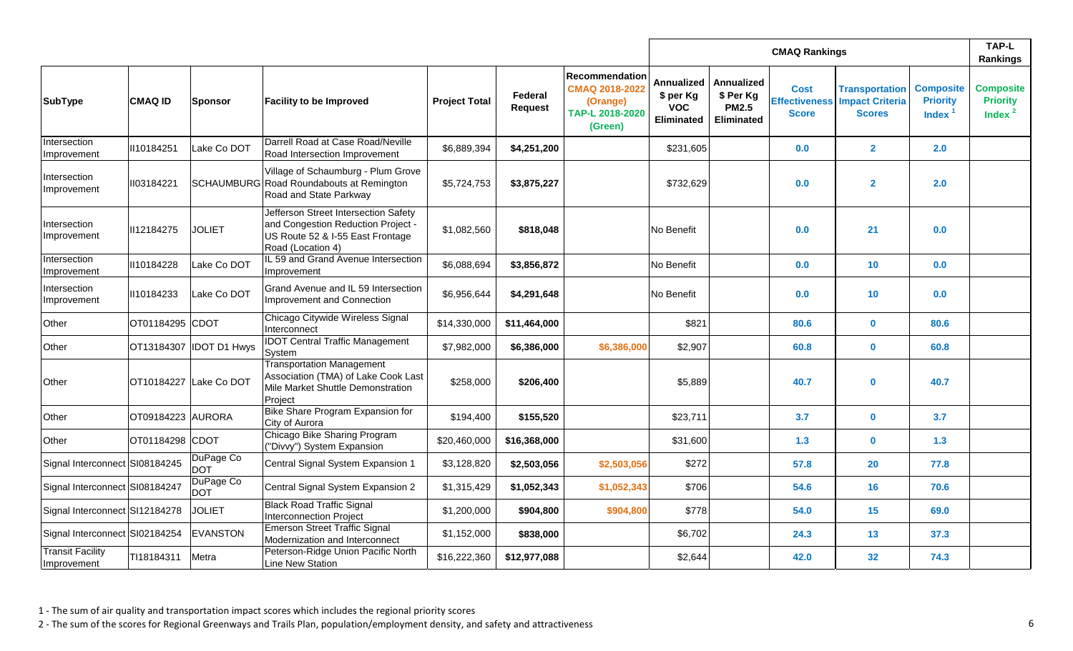|                                        |                   |                          |                                                                                                                                     |                      |                                  |                                                                            |                                                                   | <b>TAP-L</b><br>Rankings                                     |                             |                                                                                |                                                  |                                                   |
|----------------------------------------|-------------------|--------------------------|-------------------------------------------------------------------------------------------------------------------------------------|----------------------|----------------------------------|----------------------------------------------------------------------------|-------------------------------------------------------------------|--------------------------------------------------------------|-----------------------------|--------------------------------------------------------------------------------|--------------------------------------------------|---------------------------------------------------|
| <b>SubType</b>                         | <b>CMAQ ID</b>    | <b>Sponsor</b>           | <b>Facility to be Improved</b>                                                                                                      | <b>Project Total</b> | <b>Federal</b><br><b>Request</b> | Recommendation<br>CMAQ 2018-2022<br>(Orange)<br>TAP-L 2018-2020<br>(Green) | <b>Annualized</b><br>\$ per Kg<br><b>VOC</b><br><b>Eliminated</b> | Annualized<br>\$ Per Kg<br><b>PM2.5</b><br><b>Eliminated</b> | <b>Cost</b><br><b>Score</b> | <b>Transportation</b><br><b>Effectiveness Impact Criteria</b><br><b>Scores</b> | <b>Composite</b><br><b>Priority</b><br>Index $1$ | <b>Composite</b><br><b>Priority</b><br>Index $^2$ |
| Intersection<br>Improvement            | II10184251        | Lake Co DOT              | Darrell Road at Case Road/Neville<br>Road Intersection Improvement                                                                  | \$6,889,394          | \$4,251,200                      |                                                                            | \$231,605                                                         |                                                              | 0.0                         | $\overline{2}$                                                                 | 2.0                                              |                                                   |
| Intersection<br><b>Improvement</b>     | 1103184221        |                          | Village of Schaumburg - Plum Grove<br>SCHAUMBURG Road Roundabouts at Remington<br>Road and State Parkway                            | \$5,724,753          | \$3,875,227                      |                                                                            | \$732,629                                                         |                                                              | 0.0                         | $\overline{2}$                                                                 | 2.0                                              |                                                   |
| Intersection<br>Improvement            | II12184275        | <b>JOLIET</b>            | Jefferson Street Intersection Safety<br>and Congestion Reduction Project -<br>US Route 52 & I-55 East Frontage<br>Road (Location 4) | \$1,082,560          | \$818,048                        |                                                                            | No Benefit                                                        |                                                              | 0.0                         | 21                                                                             | 0.0                                              |                                                   |
| Intersection<br>Improvement            | II10184228        | Lake Co DOT              | IL 59 and Grand Avenue Intersection<br>Improvement                                                                                  | \$6,088,694          | \$3,856,872                      |                                                                            | No Benefit                                                        |                                                              | 0.0                         | 10                                                                             | 0.0                                              |                                                   |
| Intersection<br>Improvement            | II10184233        | Lake Co DOT              | <b>Grand Avenue and IL 59 Intersection</b><br>Improvement and Connection                                                            | \$6,956,644          | \$4,291,648                      |                                                                            | No Benefit                                                        |                                                              | 0.0                         | 10                                                                             | 0.0                                              |                                                   |
| Other                                  | OT01184295 CDOT   |                          | Chicago Citywide Wireless Signal<br>Interconnect                                                                                    | \$14,330,000         | \$11,464,000                     |                                                                            | \$821                                                             |                                                              | 80.6                        | $\mathbf 0$                                                                    | 80.6                                             |                                                   |
| Other                                  |                   | OT13184307  IDOT D1 Hwys | <b>IDOT Central Traffic Management</b><br>System                                                                                    | \$7,982,000          | \$6,386,000                      | \$6,386,000                                                                | \$2,907                                                           |                                                              | 60.8                        | $\mathbf 0$                                                                    | 60.8                                             |                                                   |
| Other                                  |                   | OT10184227 Lake Co DOT   | <b>Transportation Management</b><br>Association (TMA) of Lake Cook Last<br>Mile Market Shuttle Demonstration<br>Project             | \$258,000            | \$206,400                        |                                                                            | \$5,889                                                           |                                                              | 40.7                        | $\bf{0}$                                                                       | 40.7                                             |                                                   |
| Other                                  | OT09184223 AURORA |                          | Bike Share Program Expansion for<br>City of Aurora                                                                                  | \$194,400            | \$155,520                        |                                                                            | \$23,711                                                          |                                                              | 3.7                         | $\mathbf 0$                                                                    | 3.7                                              |                                                   |
| Other                                  | OT01184298 CDOT   |                          | Chicago Bike Sharing Program<br>("Divvy") System Expansion                                                                          | \$20,460,000         | \$16,368,000                     |                                                                            | \$31,600                                                          |                                                              | 1.3                         | $\mathbf{0}$                                                                   | 1.3                                              |                                                   |
| Signal Interconnect SI08184245         |                   | DuPage Co<br>DOT         | Central Signal System Expansion 1                                                                                                   | \$3,128,820          | \$2,503,056                      | \$2,503,056                                                                | \$272                                                             |                                                              | 57.8                        | <b>20</b>                                                                      | 77.8                                             |                                                   |
| Signal Interconnect SI08184247         |                   | DuPage Co<br><b>DOT</b>  | Central Signal System Expansion 2                                                                                                   | \$1,315,429          | \$1,052,343                      | \$1,052,343                                                                | \$706                                                             |                                                              | 54.6                        | 16                                                                             | 70.6                                             |                                                   |
| Signal Interconnect SI12184278         |                   | <b>JOLIET</b>            | <b>Black Road Traffic Signal</b><br><b>Interconnection Project</b>                                                                  | \$1,200,000          | \$904,800                        | \$904,800                                                                  | \$778                                                             |                                                              | 54.0                        | 15                                                                             | 69.0                                             |                                                   |
| Signal Interconnect SI02184254         |                   | <b>EVANSTON</b>          | <b>Emerson Street Traffic Signal</b><br>Modernization and Interconnect                                                              | \$1,152,000          | \$838,000                        |                                                                            | \$6,702                                                           |                                                              | 24.3                        | 13                                                                             | 37.3                                             |                                                   |
| <b>Transit Facility</b><br>Improvement | TI18184311        | Metra                    | Peterson-Ridge Union Pacific North<br>Line New Station                                                                              | \$16,222,360         | \$12,977,088                     |                                                                            | \$2,644                                                           |                                                              | 42.0                        | 32                                                                             | 74.3                                             |                                                   |